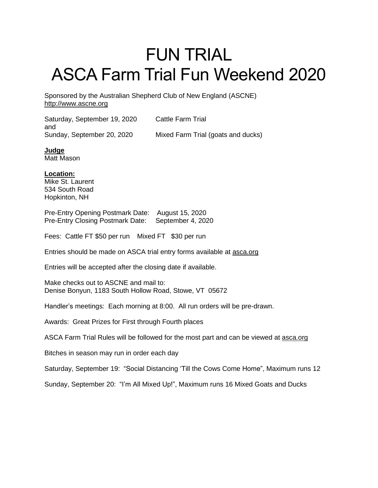## FUN TRIAL ASCA Farm Trial Fun Weekend 2020

Sponsored by the Australian Shepherd Club of New England (ASCNE) [http://www.ascne.org](http://www.ascne.org/)

Saturday, September 19, 2020 Cattle Farm Trial and

Sunday, September 20, 2020 Mixed Farm Trial (goats and ducks)

**Judge** Matt Mason

**Location:** Mike St. Laurent 534 South Road Hopkinton, NH

Pre-Entry Opening Postmark Date: August 15, 2020 Pre-Entry Closing Postmark Date: September 4, 2020

Fees: Cattle FT \$50 per run Mixed FT \$30 per run

Entries should be made on ASCA trial entry forms available at [asca.org](http://asca.org/)

Entries will be accepted after the closing date if available.

Make checks out to ASCNE and mail to: Denise Bonyun, 1183 South Hollow Road, Stowe, VT 05672

Handler's meetings: Each morning at 8:00. All run orders will be pre-drawn.

Awards: Great Prizes for First through Fourth places

ASCA Farm Trial Rules will be followed for the most part and can be viewed at [asca.org](http://asca.org/)

Bitches in season may run in order each day

Saturday, September 19: "Social Distancing 'Till the Cows Come Home", Maximum runs 12

Sunday, September 20: "I'm All Mixed Up!", Maximum runs 16 Mixed Goats and Ducks